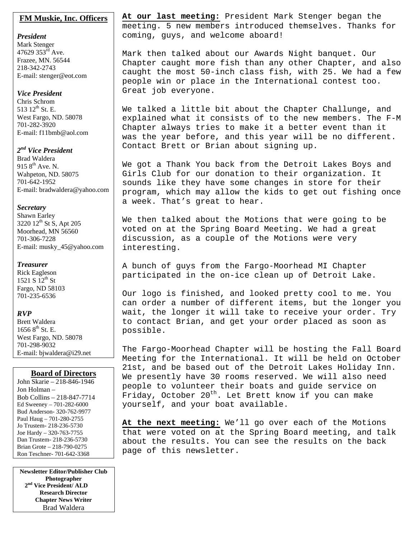# **FM Muskie, Inc. Officers**

*President*  Mark Stenger 47629  $353^{\text{rd}}$  Ave. Frazee, MN. 56544 218-342-2743 E-mail: stenger@eot.com

# *Vice President*

Chris Schrom 513 12<sup>th</sup> St. E. West Fargo, ND. 58078 701-282-3920 E-mail: f11bmb@aol.com

# *2nd Vice President*

Brad Waldera 915  $8^{th}$  Ave. N. Wahpeton, ND. 58075 701-642-1952 E-mail: bradwaldera@yahoo.com

# *Secretary*

Shawn Earley 3220 12<sup>th</sup> St S, Apt 205 Moorhead, MN 56560 701-306-7228 E-mail: musky\_45@yahoo.com

# *Treasurer*

Rick Eagleson 1521 S  $12^{th}$  St Fargo, ND 58103 701-235-6536

# *RVP*

Brett Waldera  $16568^{\text{th}}$  St. E. West Fargo, ND. 58078 701-298-9032 E-mail: bjwaldera@i29.net

# **Board of Directors**

John Skarie – 218-846-1946 Jon Holman – Bob Collins – 218-847-7714 Ed Sweeney – 701-282-6000 Bud Anderson- 320-762-9977 Paul Haug – 701-280-2755 Jo Trustem- 218-236-5730 Joe Hardy – 320-763-7755 Dan Trustem- 218-236-5730 Brian Grote – 218-790-0275 Ron Teschner- 701-642-3368

**Newsletter Editor/Publisher Club Photographer 2nd Vice President/ ALD Research Director Chapter News Writer** Brad Waldera

**At our last meeting:** President Mark Stenger began the meeting. 5 new members introduced themselves. Thanks for coming, guys, and welcome aboard!

Mark then talked about our Awards Night banquet. Our Chapter caught more fish than any other Chapter, and also caught the most 50-inch class fish, with 25. We had a few people win or place in the International contest too. Great job everyone.

We talked a little bit about the Chapter Challunge, and explained what it consists of to the new members. The F-M Chapter always tries to make it a better event than it was the year before, and this year will be no different. Contact Brett or Brian about signing up.

We got a Thank You back from the Detroit Lakes Boys and Girls Club for our donation to their organization. It sounds like they have some changes in store for their program, which may allow the kids to get out fishing once a week. That's great to hear.

We then talked about the Motions that were going to be voted on at the Spring Board Meeting. We had a great discussion, as a couple of the Motions were very interesting.

A bunch of guys from the Fargo-Moorhead MI Chapter participated in the on-ice clean up of Detroit Lake.

Our logo is finished, and looked pretty cool to me. You can order a number of different items, but the longer you wait, the longer it will take to receive your order. Try to contact Brian, and get your order placed as soon as possible.

The Fargo-Moorhead Chapter will be hosting the Fall Board Meeting for the International. It will be held on October 21st, and be based out of the Detroit Lakes Holiday Inn. We presently have 30 rooms reserved. We will also need people to volunteer their boats and guide service on Friday, October  $20^{th}$ . Let Brett know if you can make yourself, and your boat available.

**At the next meeting:** We'll go over each of the Motions that were voted on at the Spring Board meeting, and talk about the results. You can see the results on the back page of this newsletter.